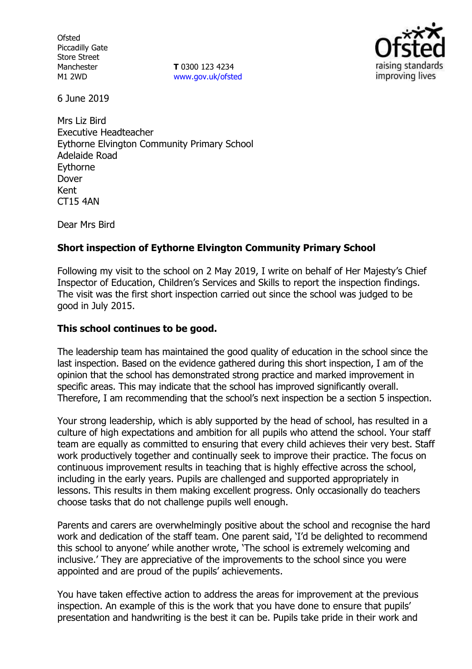**Ofsted** Piccadilly Gate Store Street Manchester M1 2WD

**T** 0300 123 4234 www.gov.uk/ofsted



6 June 2019

Mrs Liz Bird Executive Headteacher Eythorne Elvington Community Primary School Adelaide Road Eythorne Dover Kent CT15 4AN

Dear Mrs Bird

# **Short inspection of Eythorne Elvington Community Primary School**

Following my visit to the school on 2 May 2019, I write on behalf of Her Majesty's Chief Inspector of Education, Children's Services and Skills to report the inspection findings. The visit was the first short inspection carried out since the school was judged to be good in July 2015.

### **This school continues to be good.**

The leadership team has maintained the good quality of education in the school since the last inspection. Based on the evidence gathered during this short inspection, I am of the opinion that the school has demonstrated strong practice and marked improvement in specific areas. This may indicate that the school has improved significantly overall. Therefore, I am recommending that the school's next inspection be a section 5 inspection.

Your strong leadership, which is ably supported by the head of school, has resulted in a culture of high expectations and ambition for all pupils who attend the school. Your staff team are equally as committed to ensuring that every child achieves their very best. Staff work productively together and continually seek to improve their practice. The focus on continuous improvement results in teaching that is highly effective across the school, including in the early years. Pupils are challenged and supported appropriately in lessons. This results in them making excellent progress. Only occasionally do teachers choose tasks that do not challenge pupils well enough.

Parents and carers are overwhelmingly positive about the school and recognise the hard work and dedication of the staff team. One parent said, 'I'd be delighted to recommend this school to anyone' while another wrote, 'The school is extremely welcoming and inclusive.' They are appreciative of the improvements to the school since you were appointed and are proud of the pupils' achievements.

You have taken effective action to address the areas for improvement at the previous inspection. An example of this is the work that you have done to ensure that pupils' presentation and handwriting is the best it can be. Pupils take pride in their work and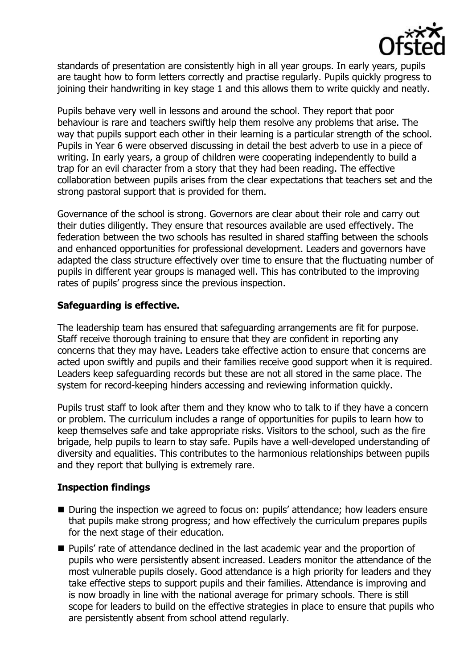

standards of presentation are consistently high in all year groups. In early years, pupils are taught how to form letters correctly and practise regularly. Pupils quickly progress to joining their handwriting in key stage 1 and this allows them to write quickly and neatly.

Pupils behave very well in lessons and around the school. They report that poor behaviour is rare and teachers swiftly help them resolve any problems that arise. The way that pupils support each other in their learning is a particular strength of the school. Pupils in Year 6 were observed discussing in detail the best adverb to use in a piece of writing. In early years, a group of children were cooperating independently to build a trap for an evil character from a story that they had been reading. The effective collaboration between pupils arises from the clear expectations that teachers set and the strong pastoral support that is provided for them.

Governance of the school is strong. Governors are clear about their role and carry out their duties diligently. They ensure that resources available are used effectively. The federation between the two schools has resulted in shared staffing between the schools and enhanced opportunities for professional development. Leaders and governors have adapted the class structure effectively over time to ensure that the fluctuating number of pupils in different year groups is managed well. This has contributed to the improving rates of pupils' progress since the previous inspection.

# **Safeguarding is effective.**

The leadership team has ensured that safeguarding arrangements are fit for purpose. Staff receive thorough training to ensure that they are confident in reporting any concerns that they may have. Leaders take effective action to ensure that concerns are acted upon swiftly and pupils and their families receive good support when it is required. Leaders keep safeguarding records but these are not all stored in the same place. The system for record-keeping hinders accessing and reviewing information quickly.

Pupils trust staff to look after them and they know who to talk to if they have a concern or problem. The curriculum includes a range of opportunities for pupils to learn how to keep themselves safe and take appropriate risks. Visitors to the school, such as the fire brigade, help pupils to learn to stay safe. Pupils have a well-developed understanding of diversity and equalities. This contributes to the harmonious relationships between pupils and they report that bullying is extremely rare.

### **Inspection findings**

- During the inspection we agreed to focus on: pupils' attendance; how leaders ensure that pupils make strong progress; and how effectively the curriculum prepares pupils for the next stage of their education.
- **Pupils'** rate of attendance declined in the last academic year and the proportion of pupils who were persistently absent increased. Leaders monitor the attendance of the most vulnerable pupils closely. Good attendance is a high priority for leaders and they take effective steps to support pupils and their families. Attendance is improving and is now broadly in line with the national average for primary schools. There is still scope for leaders to build on the effective strategies in place to ensure that pupils who are persistently absent from school attend regularly.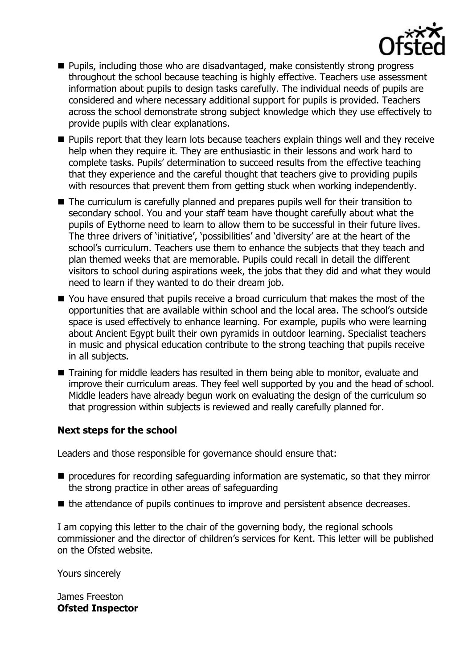

- **Pupils, including those who are disadvantaged, make consistently strong progress** throughout the school because teaching is highly effective. Teachers use assessment information about pupils to design tasks carefully. The individual needs of pupils are considered and where necessary additional support for pupils is provided. Teachers across the school demonstrate strong subject knowledge which they use effectively to provide pupils with clear explanations.
- **Pupils report that they learn lots because teachers explain things well and they receive** help when they require it. They are enthusiastic in their lessons and work hard to complete tasks. Pupils' determination to succeed results from the effective teaching that they experience and the careful thought that teachers give to providing pupils with resources that prevent them from getting stuck when working independently.
- The curriculum is carefully planned and prepares pupils well for their transition to secondary school. You and your staff team have thought carefully about what the pupils of Eythorne need to learn to allow them to be successful in their future lives. The three drivers of 'initiative', 'possibilities' and 'diversity' are at the heart of the school's curriculum. Teachers use them to enhance the subjects that they teach and plan themed weeks that are memorable. Pupils could recall in detail the different visitors to school during aspirations week, the jobs that they did and what they would need to learn if they wanted to do their dream job.
- You have ensured that pupils receive a broad curriculum that makes the most of the opportunities that are available within school and the local area. The school's outside space is used effectively to enhance learning. For example, pupils who were learning about Ancient Egypt built their own pyramids in outdoor learning. Specialist teachers in music and physical education contribute to the strong teaching that pupils receive in all subjects.
- Training for middle leaders has resulted in them being able to monitor, evaluate and improve their curriculum areas. They feel well supported by you and the head of school. Middle leaders have already begun work on evaluating the design of the curriculum so that progression within subjects is reviewed and really carefully planned for.

### **Next steps for the school**

Leaders and those responsible for governance should ensure that:

- **P** procedures for recording safeguarding information are systematic, so that they mirror the strong practice in other areas of safeguarding
- the attendance of pupils continues to improve and persistent absence decreases.

I am copying this letter to the chair of the governing body, the regional schools commissioner and the director of children's services for Kent. This letter will be published on the Ofsted website.

Yours sincerely

James Freeston **Ofsted Inspector**